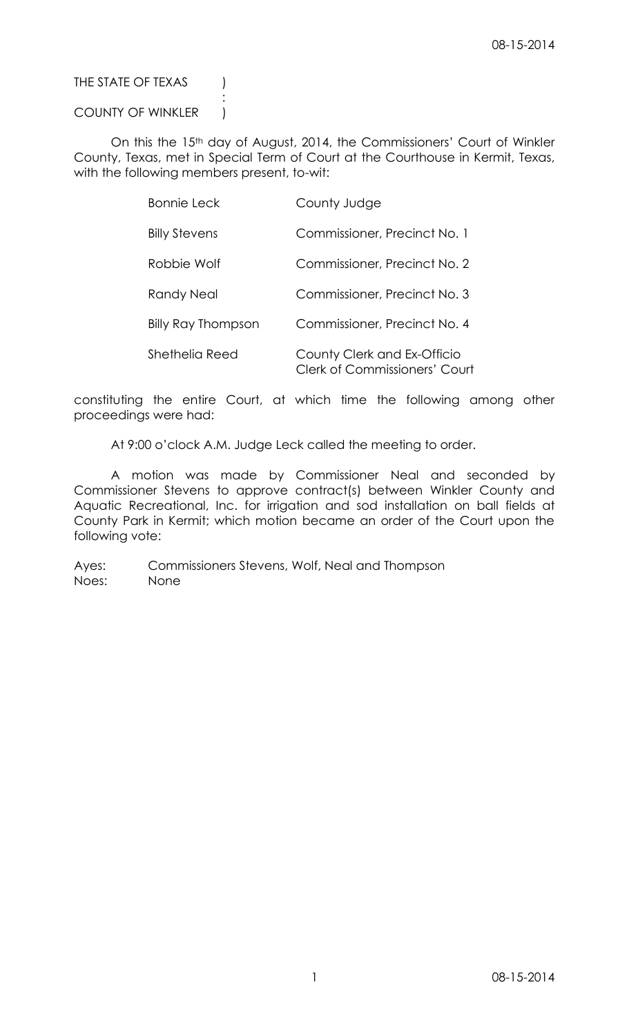## THE STATE OF TEXAS (

### COUNTY OF WINKLER |

:

On this the 15<sup>th</sup> day of August, 2014, the Commissioners' Court of Winkler County, Texas, met in Special Term of Court at the Courthouse in Kermit, Texas, with the following members present, to-wit:

| <b>Bonnie Leck</b>        | County Judge                                                        |
|---------------------------|---------------------------------------------------------------------|
| <b>Billy Stevens</b>      | Commissioner, Precinct No. 1                                        |
| Robbie Wolf               | Commissioner, Precinct No. 2                                        |
| Randy Neal                | Commissioner, Precinct No. 3                                        |
| <b>Billy Ray Thompson</b> | Commissioner, Precinct No. 4                                        |
| Shethelia Reed            | County Clerk and Ex-Officio<br><b>Clerk of Commissioners' Court</b> |

constituting the entire Court, at which time the following among other proceedings were had:

At 9:00 o'clock A.M. Judge Leck called the meeting to order.

A motion was made by Commissioner Neal and seconded by Commissioner Stevens to approve contract(s) between Winkler County and Aquatic Recreational, Inc. for irrigation and sod installation on ball fields at County Park in Kermit; which motion became an order of the Court upon the following vote:

Ayes: Commissioners Stevens, Wolf, Neal and Thompson Noes: None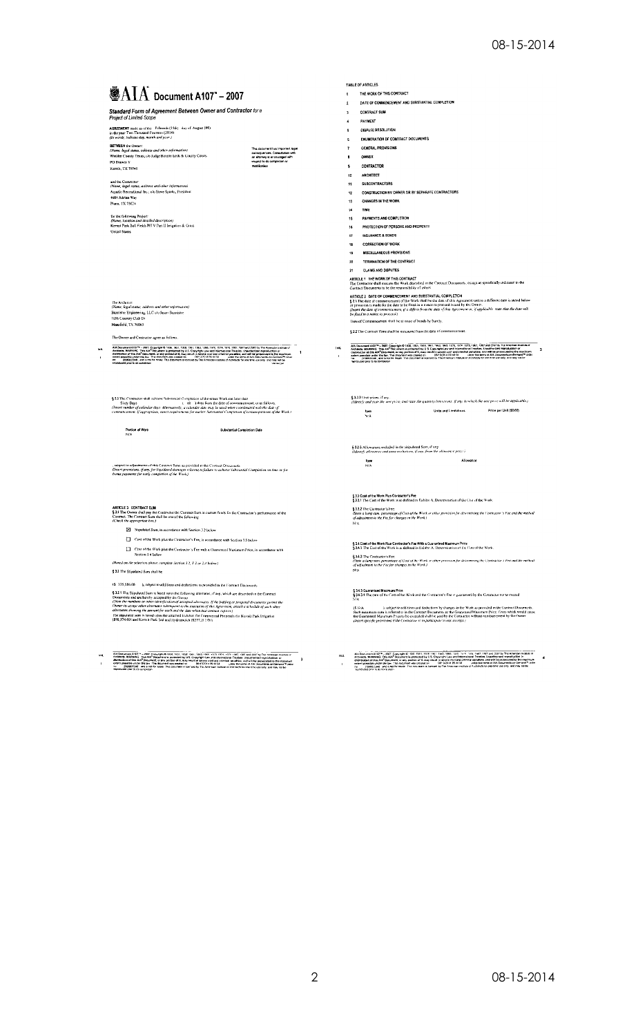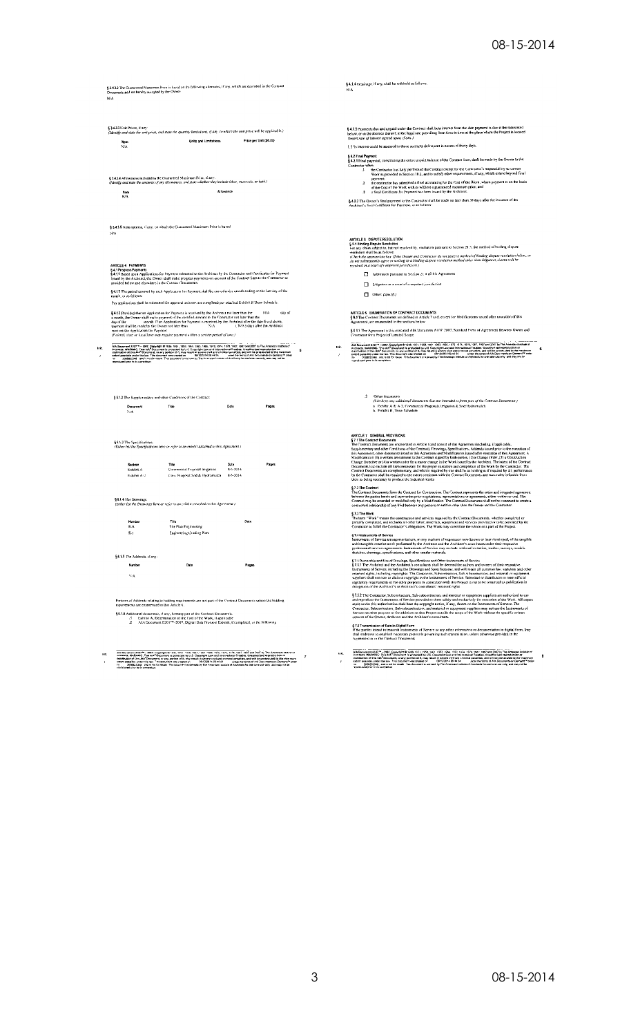| Documents and are hereby accepted by the Owner<br>N/A            |                                                                                                                                                                                                                                              |                                  |               |                                                                                                                                                                                                                                                                                                                                                                                                                                                                                                                                                                                 |
|------------------------------------------------------------------|----------------------------------------------------------------------------------------------------------------------------------------------------------------------------------------------------------------------------------------------|----------------------------------|---------------|---------------------------------------------------------------------------------------------------------------------------------------------------------------------------------------------------------------------------------------------------------------------------------------------------------------------------------------------------------------------------------------------------------------------------------------------------------------------------------------------------------------------------------------------------------------------------------|
|                                                                  |                                                                                                                                                                                                                                              |                                  |               |                                                                                                                                                                                                                                                                                                                                                                                                                                                                                                                                                                                 |
| § 3.4.2.3 Unit Prices, if any                                    | (Identify and state the unit price, and state the quantity limitations, if any, to which the unit price will be applicable.)                                                                                                                 |                                  |               | § 4.1.5 Payments due and unpaid under the Contract shall bear interest from the date payment is due at the rate stated<br>below, or in the absence therent, at the legal rate pievaling from time to time at the place where the Project is located                                                                                                                                                                                                                                                                                                                             |
| ltem                                                             | Units and Limitations                                                                                                                                                                                                                        | Price per Unit (\$0.00)          |               | (insert rate of interest agreed upon, if any.)<br>1.5% interest could be assessed to those accounts delinquent in excess of thirty days.                                                                                                                                                                                                                                                                                                                                                                                                                                        |
| <b>SIA</b>                                                       |                                                                                                                                                                                                                                              |                                  |               |                                                                                                                                                                                                                                                                                                                                                                                                                                                                                                                                                                                 |
|                                                                  |                                                                                                                                                                                                                                              |                                  |               | 6 4.2 Final Payment<br>§ 4.2.1 Final payment, constituting the entire unpoid balance of the Contract Sum, shall be made by the Owner to the                                                                                                                                                                                                                                                                                                                                                                                                                                     |
|                                                                  |                                                                                                                                                                                                                                              |                                  |               | Contractor when<br>the Contractor lass fully performed the Contract except for the Contractor's responsibility to context<br>$\cdot$<br>Work as provided in Section 18.2, and to satisfy other requirements, if any, which extend beyond final                                                                                                                                                                                                                                                                                                                                  |
|                                                                  | § 3.4.3.4 Aflowances included in the Guaranteed Maximum Price, if any:<br>(Identify and state the amounts of any allowances, and state whether they include labor, materials, or both.)                                                      |                                  |               | payment.<br>the contractor bas submitted a final accounting for the Cost of the Work, where payment is on the basis<br>$\mathbf{r}$                                                                                                                                                                                                                                                                                                                                                                                                                                             |
| <b>Item</b>                                                      |                                                                                                                                                                                                                                              | Allowance                        |               | of the Cost of the Work with or without a guaranteed maximum price; and<br>a final Certificate for Payment has been issued by the Architect.<br>$\mathbf{3}$                                                                                                                                                                                                                                                                                                                                                                                                                    |
| N/A                                                              |                                                                                                                                                                                                                                              |                                  |               | § 4.2.2 The Owner's final payment to the Contractor shall be made no later than 30 days after the issuance of the                                                                                                                                                                                                                                                                                                                                                                                                                                                               |
|                                                                  |                                                                                                                                                                                                                                              |                                  |               | Architect's final Certificate for Payment, or as follows:                                                                                                                                                                                                                                                                                                                                                                                                                                                                                                                       |
|                                                                  | § 3.4.3.5 Assumptions, if any, on which the Guaranteed Maximum Prior is based                                                                                                                                                                |                                  |               |                                                                                                                                                                                                                                                                                                                                                                                                                                                                                                                                                                                 |
| <b>N/A</b>                                                       |                                                                                                                                                                                                                                              |                                  |               | ARTICLE 5 DISPUTE RESOLUTION                                                                                                                                                                                                                                                                                                                                                                                                                                                                                                                                                    |
|                                                                  |                                                                                                                                                                                                                                              |                                  |               | § 5.1 Binding Dispute Resolution<br>For any claim subject to, but not resolved by, mediation porsinant to Section 21.3, the method of binding dispute                                                                                                                                                                                                                                                                                                                                                                                                                           |
|                                                                  |                                                                                                                                                                                                                                              |                                  |               | resolution shall be as follows.<br>(Check the appropriate best If the Owner and Contractor do not select a method of hinding dispute resolution below, or                                                                                                                                                                                                                                                                                                                                                                                                                       |
| <b>ARTICLE 4 PAYMENTS</b>                                        |                                                                                                                                                                                                                                              |                                  |               | do not subsequently agree in writing to a binding dispute resolution method other than litigation, claims will be<br>respired in a court of competent jurisdiction ).                                                                                                                                                                                                                                                                                                                                                                                                           |
| 541 Progress Payments                                            | § 4.1.1 Based upon Applications for Payment submitted to the Architect by the Contractor and Certificates for Payment<br>issued by the Architect, the Owner shall make pregress payments on account of the Contract Sum to the Contractor as |                                  |               | Arbitration pursuant to Section 21.4 of this Agreement                                                                                                                                                                                                                                                                                                                                                                                                                                                                                                                          |
| provided below and elsewhere in the Cuntract Documents.          |                                                                                                                                                                                                                                              |                                  |               | [7] Litigation in a court of compatent jurisdiction                                                                                                                                                                                                                                                                                                                                                                                                                                                                                                                             |
| month, or as follows:                                            | § 4.1.2 The period covered by each Application for Payment shall be one citendar month ending on the last day of the                                                                                                                         |                                  |               | Dher: (Specify)                                                                                                                                                                                                                                                                                                                                                                                                                                                                                                                                                                 |
|                                                                  | Pay applications shall be submitted for approval as items are completed per attached Exhibit B Draw Schedule.                                                                                                                                |                                  |               |                                                                                                                                                                                                                                                                                                                                                                                                                                                                                                                                                                                 |
|                                                                  | §4.1.3 Provided that an Application for Payment is received by the Archment not later than the                                                                                                                                               |                                  | N/A<br>day of | ARTICLE 6 ENUMERATION OF CONTRACT DOCUMENTS<br>§ 6.1 The Contract Documents are defined in Article 7 and, except for Modifications usued after execution of this                                                                                                                                                                                                                                                                                                                                                                                                                |
| day of the<br>payment shall be made by the Chener not later than | a month, the Owner shall make payment of the certified amount to the Contractor not later than the<br>month. If an Application for Payment is received by the Architect after the date fixed above,<br>NA                                    | ( N/A ) days after the Architect |               | Agreement, are enumerated in the sections below                                                                                                                                                                                                                                                                                                                                                                                                                                                                                                                                 |
| receives the Application for Payment                             | (Foderal, state or local laws may require payment within a certain period of time.)                                                                                                                                                          |                                  |               | § 6 1.5 The Agreement is this executed AIA Document A107-2007, Standard Form of Agreement Between Owner and<br>Contractor for a Project of Limited Scape                                                                                                                                                                                                                                                                                                                                                                                                                        |
|                                                                  | AA Dependent AND = 2007, Copyright 6 1936, 1931, 1952, 1941, 1942, 1942, 1973, 1974, 1982, 2002 2012 by The American Institute of<br>Andrews and Mark A. Procedure and the processed by U.S. Copyright and and the processes and             |                                  | Б             | Ala Document A197 - 2007. Copyrigate 1936, 1935, 1936, 1961, 1995, 1997, 1974, 1976, 1987, 1997 and 2007 by The American Issue of<br>Anthony, Individual (In Art Occuments In priorited by US Copyright Law additions and Theat,<br>Init.                                                                                                                                                                                                                                                                                                                                       |
|                                                                  |                                                                                                                                                                                                                                              |                                  |               |                                                                                                                                                                                                                                                                                                                                                                                                                                                                                                                                                                                 |
|                                                                  | § \$.1.2 The Supplementary and other Conditions of the Contract:                                                                                                                                                                             |                                  |               | -3<br>Caber decuments<br>(List here any subilitional documents that are intended to form part of the Contract Documents ).                                                                                                                                                                                                                                                                                                                                                                                                                                                      |
| <b>Document</b><br>NA                                            | Title                                                                                                                                                                                                                                        | Date                             | Pages         | a Fichibir A & A.2, Commercial Proposals Irrigation & Sod/Hydromulch<br>b. Exhibit B, Draw Schedule                                                                                                                                                                                                                                                                                                                                                                                                                                                                             |
|                                                                  |                                                                                                                                                                                                                                              |                                  |               | ARTICLE 7 GENERAL PROVISIONS                                                                                                                                                                                                                                                                                                                                                                                                                                                                                                                                                    |
| § 6.1.3 The Specifications.                                      | (Either list the Specifications here or refer to an exhibit attached to this Agreement)                                                                                                                                                      |                                  |               | § 7.1 The Contract Documents<br>The Contract Documents are enumerated in Article 6 and consist of this Agreement (including, if applicable,                                                                                                                                                                                                                                                                                                                                                                                                                                     |
|                                                                  |                                                                                                                                                                                                                                              |                                  |               | Supplementary and other Conditions of the Contract). Drawings, Specifications, Addenda issued prior to the execution of<br>this Agreement, other documents issted in this Agreement and Modifications issued after execution of t<br>Modification is (1) a written amendment to the Contract signed by both parties, (2) a Change Order, (3) a Construction                                                                                                                                                                                                                     |
| Section                                                          | Title                                                                                                                                                                                                                                        | Date                             | Pages         | Change Durective or (4) a written order for a minor change in the Work issued by the Architect. The intent of the Contract<br>Documents is so include all items necessary for the proper execution and completion of the Work by the Contractor. The                                                                                                                                                                                                                                                                                                                            |
| Exhibit A<br>Exhibit A-2                                         | Commercial Proposal Impation<br>Com. Projesal Snd & Flydramulch                                                                                                                                                                              | 8-5-2014<br>8-5-2014             |               | Contract Documents are complementary, and what is required by one shall be as binding as if required by all; performance<br>by the Contractor shall be required to the extent consistent with the Contract Documents and reasonably inferable from                                                                                                                                                                                                                                                                                                                              |
|                                                                  |                                                                                                                                                                                                                                              |                                  |               | them as being necessary to produce the audicated results                                                                                                                                                                                                                                                                                                                                                                                                                                                                                                                        |
|                                                                  |                                                                                                                                                                                                                                              |                                  |               | § 7.2 The Contract<br>The Contract Documents form the Contract for Construction. The Contract represents the entire and integrated agreement                                                                                                                                                                                                                                                                                                                                                                                                                                    |
|                                                                  | (Either list the Drawings here or refer to an exhibit ettuched to this Agentement ).                                                                                                                                                         |                                  |               | between the parties hereto and supersedes prior negotiations, representations or agreements, either written or oral. The<br>Contract may be awended or medified only by a Modification. The Contract Documents shall not be construed to create a                                                                                                                                                                                                                                                                                                                               |
|                                                                  |                                                                                                                                                                                                                                              |                                  |               | contractual relationship of any kind between any persons or entities other than the Conter and the Contractor.<br>§ 7.3 The Work                                                                                                                                                                                                                                                                                                                                                                                                                                                |
| Humbe                                                            | Title                                                                                                                                                                                                                                        | Date                             |               | The term "Work" means the construction and services required by the Contract Documents, whether completed or<br>partially completed, and includes all other labor, materials, equipment and services provided or to be provided by the                                                                                                                                                                                                                                                                                                                                          |
| F.A                                                              | Site Plan Engineering<br>Engineering Orading Plan                                                                                                                                                                                            |                                  |               | Contractor to fulfill the Contractor's obligations. The Work may constitute the whole or a part of the Project.                                                                                                                                                                                                                                                                                                                                                                                                                                                                 |
|                                                                  |                                                                                                                                                                                                                                              |                                  |               | 67.4 Instruments of Service<br>Instruments of Service are representations, in any medium of expression now known or later developed, of the tangible<br>and intangible creative work performed by the Architect and the Architect's consultants under their respective                                                                                                                                                                                                                                                                                                          |
| 6615 The Addenda (Canvil                                         |                                                                                                                                                                                                                                              |                                  |               | professional services agreements. Instruments of Service may include, without limitation, studies, surveys, models.<br>sketches, drawings, specifications, and other similar materials.                                                                                                                                                                                                                                                                                                                                                                                         |
| Number                                                           | Date                                                                                                                                                                                                                                         | Pages                            |               | § 7.5 Ownership and Use of Drawings, Specifications and Other instruments of Service<br>§ 7.5.1 The Architect and the Architect's consultants shall be deemed the authors and owners of their respective.                                                                                                                                                                                                                                                                                                                                                                       |
| <b>86.1.4 The Drawings.</b><br>N:A                               |                                                                                                                                                                                                                                              |                                  |               | Instruments of Service, including the Drawings and Specifications, and will retain all common law, statutory and other<br>reserved rights, including ropyrights. The Contractor, Suhermunctors, Sub-subcontractors, and material or equipment.<br>suppliers shall not own or claim a copyright in the instruments of Service. Submittal or distribution to meet official<br>regulatory requirements or for other purposes in consection with this Project is not to be construed as publication in<br>derogation of the Architect's or Architect's consultants' reserved rights |
|                                                                  |                                                                                                                                                                                                                                              |                                  |               | § 7.5.2 The Contractor, Subcontractors, Sub-subcontractors and material or equipment suppliers are authorized to use                                                                                                                                                                                                                                                                                                                                                                                                                                                            |
| requirements are enumerated in this Article 6.                   | Portions of Addenda relating to hidding requirements are not part of the Contract Documents unless the bidding                                                                                                                               |                                  |               | and reproduce the Instruments of Service provided to them solety and exclusively for execution of the Work. All copies<br>made under this authorization shall hear the copyright notice, if any, shown on the Instruments of Service. The                                                                                                                                                                                                                                                                                                                                       |
|                                                                  | § 6.1.6 Additional documents, if any, forming part of the Contract Documents.                                                                                                                                                                |                                  |               | Contractor, Subcontractors, Sub-subcontractors, and material or equipment suppliers may not use the Instruments of<br>Service on other projects or for additions to this Project outside the scope of the Work without the specific written                                                                                                                                                                                                                                                                                                                                     |
| $\cdot$ 1                                                        | Eahibit A, Determination of the Cost of the Work. If anoticable<br>AIA Document E2017* -2007, Digital Data Protocol Exhibit, if completed, or the following                                                                                  |                                  |               | consent of the Owner, Architect and the Architect's consultants                                                                                                                                                                                                                                                                                                                                                                                                                                                                                                                 |
|                                                                  |                                                                                                                                                                                                                                              |                                  |               | 67.6 Transmission of Data in Digital Form<br>If the parties intead to transmit Instruments of Service or any other information or documentation in digital form, they<br>shall endeavor to establish nocessary protocols governing such transmission, unless otherwise provided in the<br>Agreement or in the Contract Documents                                                                                                                                                                                                                                                |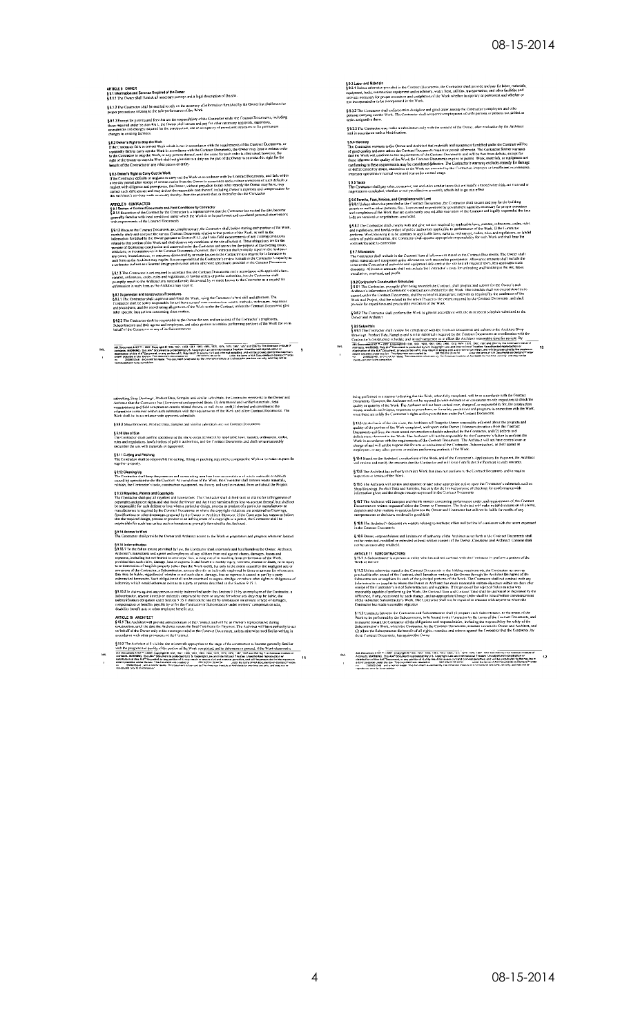$10$ 

## ARTICLE & IOWNER<br>§ 8.1 Information and Services Required of the Owner<br>§ 8.1.1 The Owner shall furnish all necessary surveys and a legal description of the site.

§ 1.1.2 The Courtetor shall be ensited to rely on the accuracy of information furnished by the Owner but shall exercise<br>Proper precisations relating to the safe performance of the Work.

§81.3 Except for permits and fees that are the responsibility of the Contractor under the Contract Documents, including<br>those required under Section 9.6.1, the Choner shall secure and pay for other necessary approvals, exc

changes in extraing pressure.<br>
§ 1 October 19 Bight to Stop the Work<br>
If the Contractic facts to convert West in succeedance with the couplierments of the Contract Ducturents.<br>
If the Contractic facts to convert West in ac

§ 8.3 Demet's Right to Carry Out the Work<br>If the Commutation is realisticated to compute the control of the control of the Contract Documents, and finite within<br>If the Commutation of international control on the Control to

ARTICLE 9 CONTRACTOR<br>§§11 Berien of Contract Oceanests and Field Conditions by Contractor<br>§§11 Execution of the Contract by the Contractor is a representation state the Contractor has vested the site, become<br>generally funn

with requirements of the Context Decument<br>any the Contexts while below are ingrede particle with the Context and the<br>discussion of the Violent Context Decumentary are completed by the<br>context of the Violent Context Decume

**5 SAA The Concustor** is not required to ascertain that the Contract Findmentis are in accordance with applicable tame.<br>Saturies, ordinances, codes, rules and regulations, or lawful créers of public audiomize, but the Cont

etionmation in such clients as the suctions. Into yourselves the Contractor's best skill and attention. The<br>§ 8.1 Supervision and Construction Procedures<br>© 8.1 The Contractor shall supervise and direct one constraints mean

§ \$2.2 The Contractor shall be responsible to the Owner for acts and omissions of the Contractor's employees,<br>Subcontractors and their agents and employees, and other persons or embites performing portions of the Work for

## AAL Decument ARD \*\* - 2007, Copy and & 1336, 1561, 1572, 1587, 1592, 1592, 1597, 1597, 1597, 1597, 2007 The American Institute of<br>Actionals, ARSBND, Dist. ARC Decomposity in profits of the Copyright and astronomial Health

submating Shop Dewwage, Product Data, Samples and sixular submittals, the Contractor represents to the Owner and<br>Authinest that the Constant has (1) reviewed and approved them: (2) determined and versified materials, finds

\$9.9.2 Shop Drawines, Product Data, Samples and similar submittely are not Congast Documents.

§ 8.10 Use of Site<br>The Contractor shall cunfine operations at the site to areas permiced by applicable laws, statutes, ordinances, codes,<br>rules and regulations, lawful orders of public authorities, and the Contract Documen

§ 9.11 Cutting and Patching<br>The Contractor shall be responsible fite curting, fitting or patching required to complete the Work in to make its parts fit

§ 9.12 Cleaning Up<br>The Commactor shall keep the premises and surrounding area free from accumulation of waite materials or rubbish<br>caused by generations under the Cuatract-Accompletion of the Wink, the Commerce shall remov

ruinage, me contenents to and, contracted equipment, machines and surprise metalls and an one of respect to the Contenent of the Contenent of the Contenent of the Contenent of the Contenent of the Contenent of the Contene

....<br>§ 9.14 Access to Work<br>The Contractor shall provide the Owner and Architect access to the Work in preparation and progress

The Concession and power and the different state of the concept of the state of the state of the concept of the state of the state of the state of the state of the state of the state of the state of the state of the state

 $\S$ 1522 In chairm against any person or entry indemotied under this Section 9.15 by an employee of the Contractor<br>Subcontractor, anyone directly or indicently entrying they them on anyone for whose acts day; may be liable

ARTICLE 10 ARCHITECT<br>§ 13 The Acchitect will provide admissionation of the Contract and will be an Owner's representative during<br>ontarraction, and the date the Architect source the final Centricate for Psyment. The Archite

 $\S$  19.2 The Architect will vial the site of intervals appropriate to the stage of the construction to become generally familiar and the state of the state of the state of the state of the state of the state of the state  $\overline{11}$  §931 abor and Materials<br>§931. Unless otherwise provided in the Contract Documents, the Contractor shall provide and pay for labor, materials<br>equipment, tools, construction equipment and machinery, water, heat, selfline, tr

§ 8.3.2 The Compactor shall enforce strict discipline and good order among the Contractor's employees and other<br>persons carrying out the Work. The Contractor shall not permit employment of unfit persons or persons not skil

§ 9.3.3 The Contractor may make a substitution only with the consent of the Owner, after evaluation by the Architect<br>and in accordance with a Modification.

mun accounting worse involvemental Accident due muterials and exponent furnished under the Contract will be<br>The Concentive worse to the Contract Decomposition and intervent in the Contract of the Contractor for<br>the Concent

§ 9.5 Taxes<br>The Contractor shall pay cales, consumer, use and other similar taxes this we legally ensered when bids are received or<br>meanslations concluded, whether or not yet effective or merely scheduled to go into effect

§ 9.6 Permits, Fees, Notices, and Compliance with Laws<br>§ 9.8 Permits, Fees, Notices, and Compliance with Laws<br>permit at well as other permits, fees, licenses and moreotient by government agencies recessary for proper execu

and the computer of the computer of the computer of the computer of the computer of the computer of the comput<br>And I are computed to a state of the state of the computer of the computer of the states, independently contain

§ 3 7 Allowances<br>The Countainty distribution in the Contract Siem all Allowances stated in the Context Decembent. The Owner stat<br>costs to the Contextor of materials and couplement delivered at the tile with all required se

§ 8.8 Contractor's Construction Schedules<br>To 8. In The Contemporary Construction of the Constant, and I prepare and submit for the Osman's and<br>narrative different confused Documents, shall be revised at appropriate interva

§9.8.2 The Contractor shall perform the Work in general accordance with the most recent schedule submitted to the<br>Owner and Architect

§ 8.9 Submittis<br>
§ 8.9 Submittis<br>
§ 8.9 Submittis<br>
Quadright Transformation and the complete and demistrated materials required by the Contract Decements in conditions with the<br>
Contract University Records and the submitte

being performed in a manner indicating that the Work, when fully exceptened, will be in a conducte with the Contract<br>Discussions (fowerer, the exchange will have be regioned to make extractive or constance) on one mapediat

since these are tolely the Contractor's rights and responsibilizes under the Contract Documents.<br>Splid On the haster filter since the Accident will keep the Owent reasonably infromed about the progress and<br>quality of the

§ 10.4 Based on the Architect's evaluations of the Work and of the Contractor's Applications for Payment, the Architect<br>will review and certify the aniounts due the Contractor and will losse Certificates for Payment in suc § 10.5 The Architect has authority to reject Work that does not conform to the Contract Documents and to require<br>imprection in testing of the Work.

g 10.6 The Architect will review and approve or take subcr appropriate action upon the Contracter's submittab, such as<br>Shup Drawings, Poodust Data and Samples, but only for the limited purpose of checking for conformance w

encomments and the statement and decide namers concerning performance under, and requirements of, the Contrast<br>Documents on written request of riche of the Owner or Concerning performance under make milital decreases on al

§ 10.8 The Architect's decisions on matters relating to acsthotic effect will be final if consistent with the uttent expressed<br>in the Contract Documents § 10.9 Direct, responsibilities and limitations of authority of the Architect as set forth in the Coult art Documents that<br>not be restricted, modified or extended without written consent of the Owner, Contractor and Archit

ARTICLE 11 - SUBCONTRACTORS<br>§ 11.1 A Subcontracter is a person withinly who has a direct contract with the Contractor to perform a portem of the<br>Work at the site

What is the use of the content of the Content Dimoments of the bidding explicions of the Contenter is a soon as<br>a fit of the content of the Content chall formed in while professional content of the content of the School a

§ 11.3 Contracts between the Contractor and Subcommeters shall (1) require each Subcommeter, in the annual of the<br>West to be performed by the Subcommetry, the behand to the Contractor by the time of the basin fits adding o

MA Distinction 4-107 × 2000 Company of 2001 (100 × 100 × 100 × 100 × 100 × 100 × 100 × 100 × 100 × 100 × 100 × 100 × 100 × 100 × 100 × 100 × 100 × 100 × 100 × 100 × 100 × 100 × 100 × 100 × 100 × 100 × 100 × 100 × 100 × 100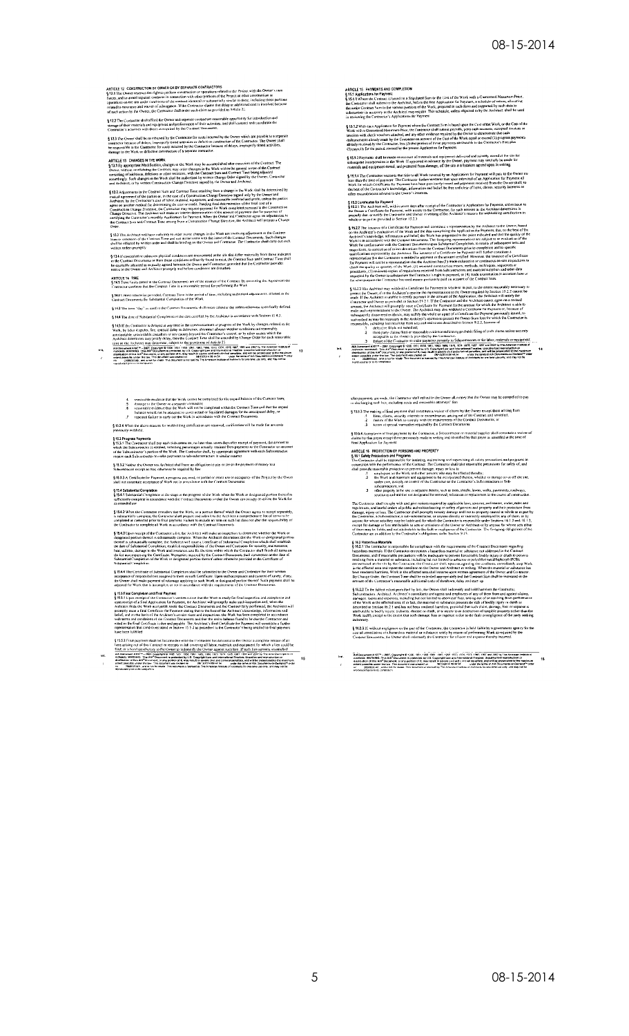ARTICLE 12 CONSTRUCTION BY OWNER OR BY SEPARATE CONTRACTORS<br>5121. The Conserve serves are injuring profession construction or operations select to the Project with the Conner's community forces in the Conserved Conserved C

§ 122 The Compactor shall affind the Owner and separate contractors reasonable apportunity for introduction and<br>storage of their materials and equipment and performance of their activities, and shall contrets and coordinat

§ 12.3 The Owner shall be rembursed by the Contractor for costs incurred by the Owner which are payable to a reparational contractor of delays, improperty timed activities of delays, improperty timed activities of delays,

damage to the wear we weaken.<br>
AFTELE 13 CHAMBES Microsoft and the Work may be accomplished after execution of the Contract. The STALE 13 appropriate Modification, changes to the Wick work within the general scope of the C

 $\S$  12.2 Adgraments in the Contract Sum and Contract Time response from a state per mixed botall be determined by<br>mutual agreement of the partners of mixed Contract Time response Contract in the Social Automate and Social

§ 13.3 The Architect will have substrop to order motor changes in the Work not involving adjustment in the Costner.<br>Stan or extension of the Contract Time and out increasions with the intert of the Contract Documents. Such

where others premptly<br>6 14 Mi Countain Krushawan physical conditions are encountered at the site dial differentiably from these indicated<br>in the Countain Decuments of from those conditions ordinarily found to exist. Bet Co

ARTICLE 14 TIME<br>§14 Time limits stated in the Conzul, Documents are of the essence of the Contract. By executing the Agreen<br>Contractor confirms that the Contract. Firme is a rearmable period for performing the Work

g 14.2 Chiest otherwise provided, Contract Time is the period of time, including authorized adjustments, allotted in the<br>Contract Decuments for Substantial Completion of the Work. e term "day" as used in the Contract Documents shall mean calendar day unless otherwise specifically defined

§ 14.4 The date of Substantial Completion is the date cortified by the Architect in accordance with Section 15 4.3. y year and control substitution in the differential by the Architect in accordance with Section 15 4.3.<br>
§ 148 f for Contactor is delayed at any time on the connection method with the World y changes redered in the<br>
North

the completed for the unpaid balance of the Curitaet Sum; A reasonable evidence that the Werk causati be complished for the turpud balance of the Contract Sum,<br> $5 -$  changes to the Contract Support contraction, and the completed within the Contract Time and that the unpud<br> $\delta$  re

g 1524 When the above reasons for wotkholding certification are censored, certification will be made for anyonis<br>previously withheld.

provides) without the system of the subsequences, no later than owen days after needpt of payment, the amount to<br>§ 16.3.1 The Converse shall bay each Subcomments, no later than owen days after needpt of payment to the Conv

§ 15.3.2 Noidrer the Owner nor, Architect shall have an obligation to pay or see to the payment of muney to a<br>Subsonization except as may otherwise be required by law § 1533 A Certificate for Payment, a progress payment, or partial or entire use or occupancy of the Project by the Owner<br>shall not contribute sceeptance of Work not in accuratione with the Compact Documents.

§ 154 Substantial Completion<br>§ 1541 Substancial Completion is the stage in the progress of the Work when the Work or designated purtion thereof is<br>sufficiently complete in accordance with the Contract Discurrents on that t

§ 1842 When the Contractor emoders that the Work, or a pertion thereof which the Owiec agrees to sceept separately<br>is substantially complete, the Contractor alial prepare and submit to the Architect a comprehensive list of

an consistent to compute all Work in accordance with the Contract Documents<br>of the consistent of the Contract of the Architect with the last particular distance of the Contract of the Contract of the Contract of the Contra

§ 15.44 The Centinate of Substantial Completion stall be submitted to the Owner and Controque for their winten<br>acceptance of responsibilities assigned to them in such Centificate. Unen substanceptonce and consent of surety

algostol for World in a successfully of the constraints with the requirements of the Constant Excellence of 15 S. In the Constant of the Constant of the Constant of the Constant of the Constant of the Constant of the Cons

§ 155.2 Final payment shall not because due until the Contractor has delivered to the Elvinter a complete release of all<br>liens arriving out of this Contract or receipts in full covering all fabor, materials and equipment

whole or in part as provided in Section 15.2.)<br>While or in part as provided in Section 15.2.)<br>Spin and the straighter contained and the straighter of the part of the straight of the straight of the straighter contained on for what purpose the Contractor has tast monographical constraints of the Contractor of the Contractor<br>
System of the Advisory respectively. Paid on account of the Contractor<br>
protective in the following contractor of the

ARTICLE 15 PAYMENTS AND COMPLETION<br>§ 151. Applications for Popments<br>§ 151. Applications for Popments is based on a Stipulated Sum or the Cost of the Work with a Charanteed Maximum Prince,<br>§ 151. It When the Contract is bas

 $\mathfrak{g}_1$  5.1.2 Was exact a construction of the system of the Contract Som is build upon the Cost of the Week, or the Cost of the Week, or the Cost of the Week, or the Cost of the Week or the Cost of the Week or the Cost

 $\S$  15.1.3 Payments shall be made on account of materials and equipment delivered and suitably stored at the site is<br>subsequent incorporation in the Work II approved in advance by the Owner, payment may similarly be made

§ 18.1.4 The Contractor sourcests that take to all Work covered by an Application for Psyraest will puts to the Owner rou<br>late than the time of expresses The Coeferator further were not that apparented the an Appleation fo

§ 152 Continuants for Payment<br>§ 152.1. The Archivect will, which weren days after receipt of the Contractor's Applications for Payment, either issue to<br>the Owene a Ceruficate for Payment, with a copy to the Contractor, for

after payments are made, the Contractor shall refind to the Owner all money that the Owner may be compelled to pay<br>in discharging such heri, including costs and reacouthle attorneys' (fee:

 $\S$  15.5.3. The making of final psyment shall constructs a veloce of claims by the Owner except those arising from .1 Firm, claims, security interests or encombrances arising out of the Contract and interesting.  $\lambda$  hast

§ 15.5.4 Acceptance of final payment by the Contractor, a Subcontractor or material supplier shall constitute a waiver of<br>claims by that payse except throe previously mude in writing and identified by that payer is unsettl

That Applementa our symmetry.<br> **ARPICE 15. PROTECTION OF PERSONS AND PROPERTY**<br> **SERVICE 15. REDUCE TON OF PERSONS AND PROPERTY**<br> **The Contraction with the performance of the Contraction particle in the Contraction and De** 

The Containers shall couply with and give notices required by applicable laws, assumes, on<br>theater, code, miles and formulations of plots, and<br>containers provided a more of the contract of plots and containers of<br>the cont

Contractor are to additional terms to consider a companion winning in the Contract Distribution of the Contract Distribution of the Contract Distribution of the Contract Party of the Contract Party of the Contract Party o

§ 16.2.2 To de failest extent permitted by law, die Oward stall indemnity and hold harmless the Couraction.<br>Sakeschreiders, Acchied, Acchied Constantina and agents and employees of any of them form indigense is loss and e

§ 18.2.3 If, without negligence on the part of the Contractor, the Contractor is held liable by a government agency for the<br>cost of cented/situe of a hazardous matterial or substance solely by reason of performing. Work as

Rei Spoweret A1979 – 2001, Georgin 6, 1016, 1911, 1981, 1981, 1992, 1993, 1992, 1993, 1997 priz Strolland in B<br>Activistics Wikihing This AM, Document is entered by US. Copyright Law and termindest implemented representati<br>

08-15-2014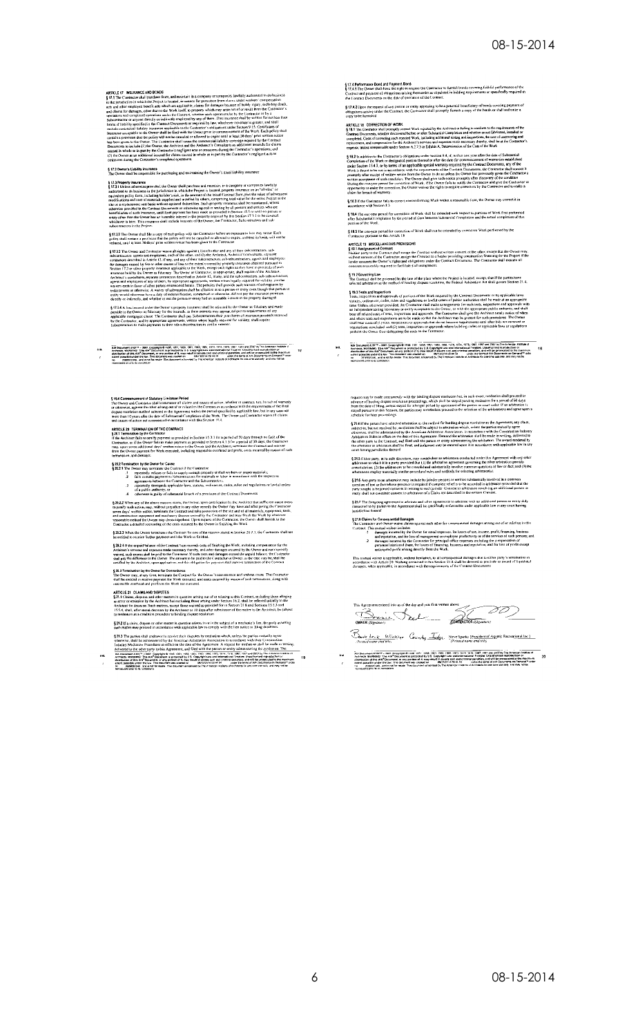ARTICLE 17 INSURANCE AND BOKKO *semantial* in a company or companies lawfully authorized in the business \$17.1 The Contractor Mail partner for protection from claim under weakers' componenties in the protection residentia

§ 17.2 Owner's Liability insurance<br>The Owner shall be responsible for purchasing and maintaining the Owner's usual liability insurance The Contract same consideration of the matter of the Contract same comparison of the SMS (113). The Contract same consideration of the SMS (113) and the Matter of the SMS (113) and the Matter of the SMS (113) and the Matt

-<br>§ 17.3.2 The Owner shall file a rospy of each policy with the Contractor before an exposure to hast may necur-Each<br>rolley shall contain a provision that the policy will not be canceled to allowed to expire, and that its

results, and it is used out and to provide the same of the same of the system of the system of the system of the system of the system of the system of the system of the system of the system of the system of the system of § 17.34 A less insured under the Owner's property insurance shall be acjusted by the Owner as fideology and made<br>payable to the Owner as fideology for the insurance, as their interests may appear, stilpest to requirements

AM Deciment AND <sup>21</sup> = 2007. Copyright 0 1508, 1951, 1963, 1972, 1985, 1970, 1971, 1978, 1977, 1973 and 200 by The American Institute of the American Institute of the American Institute of the American Institute of the Ame

§ 18 A Commenterined of Stationy Limitation Period<br>11 Meter - A Constant Constant Period Comment of History and exacts of action, whether in contract, tert, bre<br>18 detectives, agreem the constant progress within the period

and cases of a shown not commencation in Science with this Section 1974.<br>ARTICLE 20 TERMINATION OF THE COMTRACT<br>SAR I Termination by the Contractor<br>of the Architect Gib to certify payment as provided in Section 15.2.1 for

termination, and domates:<br> **§ 32.7** lembation by the Owean For Cases<br> **§ 32.21 lembation by the Owean For Cases** of Following the Conductive<br>  $\frac{3}{4}$ <br> **§ 32.1 lembation of the Context and the Conductive Conductive Condu** 

§ 20.22 When any of the above require cation, the Chonet upon certification by the Architect that antificant cause exots and the context of the context of the context of the context of the context of the context of the co

§ 20.2.3 When the Owner terminates the Contract for one of the reasons stated in Section 20.2.1, the Contra<br>be emitted to receive fluther psyment until the Work is finished.

C 802-4 If the urganist balance of the Contract Sum recession of the finaliting the Work, including compensation for the \$202-4 If the comparison of the comparison of the Contract Summer of the Contract Contract Contract C

The Sammarian of the Contemporary of the Contemporary of the Contemporary and the Contemporary of the Contemporary of the Contemporary of the Contemporary of the Contemporary of the Contemporary of the Contemporary of the

ARTICLE 21 CLAMB AND DISPUTES<br>21 Common disputation in the activity of the state of the state of the context, encloding their state of the<br>4 Common disputation and Acchient but enclosing floor articles problem in 2.3 shall

§ 21.2 If a claim, dispute or other matter in question relates to or is the subject of a mechanic's lien, the psety asserting<br>such matter may proceed in accordance with applicable law to comply with the lien notice or fili

System that may proceed in a constant of the information of the film of the matter in the constant of the constant of the constant of the constant of the constant of the constant of the constant of the constant of the con

§ 17.4 Performance Bond and Payment Bond<br>§ 17.4.1 The Owner shall have the right on require the Contractor to furnish bonds covering faithful performance of the<br>Contract and payment of nhingstions arising thereunder as sti

§ 17.4.2 Upon the request of any person or entity appearing to be a potential beneficiary of bonds covering payment of<br>obligations arising under the Contract the Contractor shall promptly furnish a copy of the bonds or sha

copy to construct the CORRECTION OF WORK<br>S. The Communication of the CORRECTION of the Construction of the Construction of the requirements of the<br>S. The Communication of the Communication of the Construction of the Constr

expense, mass componsable ander Section A2.7.3 in Eshibit A, Determination of the Cos of the Work<br>
§ 18.2 in addition to the Comparary soligations under Section 9.4, it with now year after the size of Solutionial<br>
complet

§ 18.3 If the Contractor fails to correct innocmforming Work within a reasonable lime, the Owner may correct it in<br>eccordance with Steman 8.3

§ 18.4 The energies period for correction of Work shall be extended with respect to portions of Work first performed<br>after Substantial Completion by the policid of time henveco Substantial Completion and the actual complet § 18,5 The one-year period for correction of Work shall not be extended by corrective Work performed by the<br>Contractor porsuant to this Article 18

Vancia on potential such a structure and provides the method of the strength of the strength and the Christman<br>SEC 14 and provides the Contrast and assign the Contrast without written consent of the offer, exemptibal the O

§ 19-2 Governing Law<br>The Contract Mail lite governed by the law of the place where the Project is located, except, that if the parties have<br>selected arbitration as the method of binding dispute resolution, the Federal Arbi

Section and the methods of points of the Work required by the Contract Decembent of by applicable laws.<br>
Section and the system of the Work required by the Contract Decembent of the system of the system of the system of th

AM Document A1977 - 2007. Copyright B 1958-1951. 1994. 1995. 1995. 1996, 1997, 1997, 1997, 1997 and 2003 to The American Institute of<br>Accression Private C. The AM Document of any technical for U.S. Copyright Lee and Intern

request may be made concurrently with the binding dispute resolution but, in such event, mediation shall proceed is<br>advance of busing dispute resolution proceedings, which and the saysof persimps measured for a person arbi

acheause or take powers they estimated as the medical for busing depths excellent the dependent, any change system of the control of the system of the system of the system of the system of the system of the system of the

§ 21.5 Either party, at its sole discretors, may consolidate an arbitration conducted under this Agreement with my other<br>arbitration to which it is a party provided that i () the arbitration agreement ing oranomia the orie

annumental supervisor and process the process of the state of the state of the state of the state of the state of the state of the state of the state of the state of the state of the state of the state of the state of the

§ 21.7 The freegoing agreement to arbitrate and other agreements to arbitrate with an additional person or entity duly<br>conserved to by partice to the Agreement shall be specifically enforceable under applicable law in any

§ 21.8 Claims for Consequential Damages<br>The Contractor and Owner waive claims sguinst each other for consequential dumages arising out of or relating to this et. This invisible includes<br>  $\therefore$   $\therefore$   $\therefore$  damages incurred by the Chomer for tendal expenses, for locates of set, income, profit, financing, business<br>  $\therefore$   $\therefore$  damages incurred by the Contrastic organization compl

This mutual waiver is applicable, without luvitation, to all consequential damages due to either party's termination in<br>accordance with Article 20 Nothers constituted in this Section 21.8 shall be deemed to preclude an awa

| This Agreement entered into as of the day and year first written above |                                                                                   |
|------------------------------------------------------------------------|-----------------------------------------------------------------------------------|
| <b>OWNER (Signature)</b>                                               | CONTRACTOR (Signature)                                                            |
| in Loik Winkler County Judge.<br>:Protect name and title.              | Steve Sparks (Prosident of Aquatic Recreational Inc.)<br>(Printed name and title) |

Als December AND W-1997, Copyright 6 1998, 1991, 1996, 1996, 1996, 1997, 1997, 1997, 1997, 200, 200 p. 199 American Lindson of<br>distribution of the ALA December of any pother of a they would be a manufactured by any other p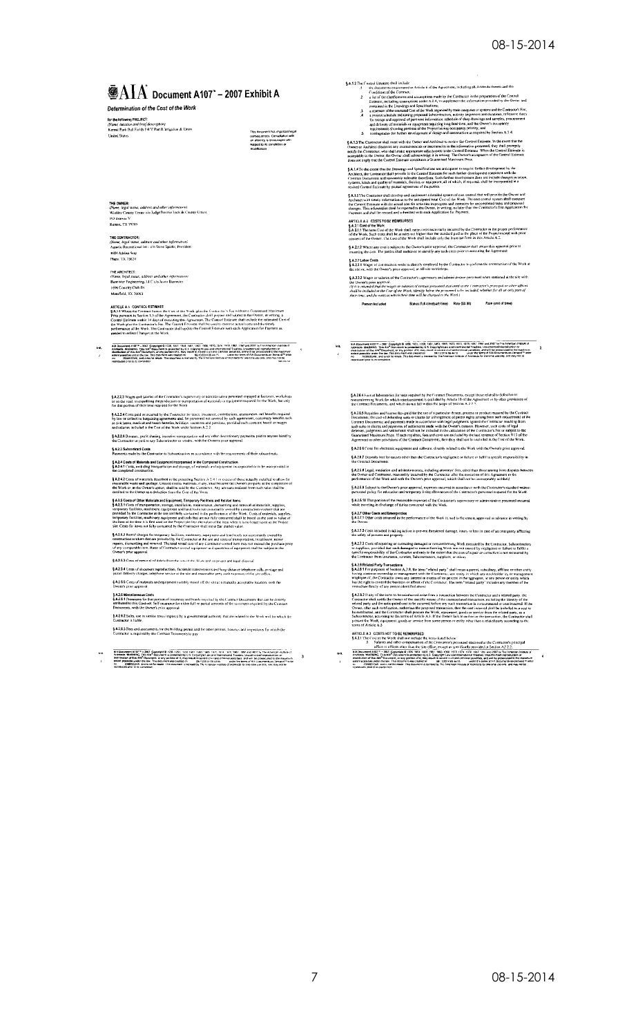$\overline{2}$ 

## ®  $\mathbf{A}$   $\mathbf{A}$  Document A107" - 2007 Exhibit A

Determination of the Cost of the Work

for the following PROJECT:<br>*(Name, location and brief description)*<br>Kermit Park Ball Fields PH V Part II Irrigation & Cirass

| an attorney is telcouraged with<br>respect to its completion or |              | This document has important legal<br>consequences Consultation with |
|-----------------------------------------------------------------|--------------|---------------------------------------------------------------------|
|                                                                 |              |                                                                     |
|                                                                 |              |                                                                     |
|                                                                 | modification |                                                                     |
|                                                                 |              |                                                                     |
|                                                                 |              |                                                                     |
|                                                                 |              |                                                                     |
|                                                                 |              |                                                                     |

THE OWNER:<br>(Name, logal status, address and other information)<br>Winkler County Texas: c/o Judge Bannie Lock & County Cinsts. i Drawer V<br>mne - TX 79745

**AE CONTRACTOR:**<br>Wome, *Engel status, address and other toformations*<br>iquatic Recreational Inc.: c/o Steve Sparks, President<br>684 Adeian Way<br>Nazo, T.X 751224

THE ARCHITECT:<br>(Name, legal stoux, address and other information)<br>Bannister Engineering, J.J.C. c/o Jason Bannister<br>1696 Country Club Dr<br>Manafield, TX 76963

ARTICLE A 1. CONTROL ESTIMATE<br>
TAXI VA PROGRESS CONTROL ESTIMATE CON CONTROL PROGRESS CONTROL CONTROL CONTROL CONTROL AND THE PROGRESS CONTROL CONTROL CONTROL CONTROL CONTROL CONTROL CONTROL CONTROL CONTROL CONTROL CONTRO

# AAL Depressi A138 \*\* - 2002 Copyright & 1324, 181 \* 1918, 1960, 1970, 1970, 1971, 1987, 1997, 1997 209 2007 by The American Prototel of<br>Advistment of Microsoft Disk Albertami is possible to the Copyright Law and interactio

§ A.2.2.3 Wages and saluries of the Contractor's supervasey or islminiatively personnel engaged at factories, wurldhops<br>or on the road, in a poetiling dre production or transportation of materials or equipment required for

To the symmetry of the company of the Contractor for Laucs, Instance, controllions, assessments and benefits required<br>By Law or collective bargaining agreements and for protoined not avered by such agreements, customary he

§ A.2.2.5 Bonases, profit sharing, incentive compensation and any other discretionary payments paid to anyme hired by<br>Die Contractor or paid to any Subcontractor or vendor, with the Owner's prior approval. § A.2.3 Subcontract Costs<br>Payments made by the Contractor to Subcontraction in accordance with the requirements of their subcontracts.

**SA24 Goats of Malerian and Convenience** in a successive with the requerements of their subcontract<br>\$A244 Goats of Maleria and Equipment Incorporated in the Compteted Construction<br>the completed construction.

the completed continues<br>The AZ Centre of materials described in the procedure Section A 2.4.1 in excess of bost weaklify installed to allow<br>the Work of a nite downstrained cores materials, if any shirt become the Diviner's

castical de la Colombia sa definidario from the Cost of the Vers.<br> **SASS Costa of Other Multiple and Equipment**, Temporary Feedlines and Retired lines<br> **SASS Costa of Other Multiple and Equipment**, Independent and the Uni

§A.2.5.2 Rental charges for temporary facilities, machinery, capiraters and load tools not customarily owned by<br>construction winkers that are providel by the Contractor at the size and cost of transportation, includione, m 5A.25.3 Costs of removal of debris from the site of the Work and its proper and legal dismosal

§ A.2.3.4 Costs of document reproductions, factimale transmissions and long-distance tolephone calls, portage and<br>parcel delivery charges, telephone service of the site and reasonable perty cash expenses of the site office § A.2.5.5 Costs of materials and equipment suitably stored off the site at a mutually acceptable location, with the<br>Owner's prior approval

§ A.2.6 Miccellaneous Costs<br>§ A.2.8.1 Permiums for this potnon of insurance and homis required by the Contract Decembers that can be directly<br>intributed to the Couloust Self-meanwes for either full or partial answerts of t § A2 8.2 Sales, use or similar toxes imposed by a governmental authority that are related to the Work and for which the<br>Contractor is liable.

§ A.2.8.3 Fees and assessments for the building permit and for other permits, boewses and inspectious for which the<br>Contractor is required by the Contract Documents to pay

eta boomeeta taarre 1990 Gopwiet 8 (93), 1931, 1931 hot 1943 hot 1952, 1974 hot 1992, 1992 wa Strits presidente autorist<br>Autokoa, Mariaka, Die ja Nikolaanse appealist by D. Copyright as an interessed from Characterist pres

- 
- **5.4.12** The Content is hadronic team of the Article 6 of the Agreement, including all Addenda therets and the<br>
1. One documents ansumed of the Article 6 of the Agreement, including all Addenda therets and the<br>
2. Conclud

6. Al. 3 The Contractor what meet with the Comparator of antique service disc Control Estimate. In the event that the 6. All incomparations of the Contractor of the Contractor of the Contractor of the Contractor of the Con

SA.14 To the cocon that the Drawings and Specifications are anticipated to require further development by the<br>Achilect, the Contention Bull previde in the Content) Estimate for each further development constants with the<br>C

§ A.1.4 The Contractor shall develop and implement a detailed system of eval control that will provide the Owner and<br>Architect with institute information as to the anticipated total Cost of the Wedt. The control order may r symmetries at 2005 TO DE REMOURSED.<br>ARTICLE A 2 - COSTS TO DE REMOURSED.<br>6 A21 Cost of the New York Che Work shall mean const necessarily ancurred by the Contractor in the proper performance<br>of the Work, Such costs what

§ A.2.1.2 Where any evat is subject to the Owner's prior approval, the Contractor shall obtain this approval prior to<br>incurring the cost. The parties shall endeaves to identify any such costs prior to executing the Agreeme

§ A 2.2 Libor Costs<br>§ A 2.2.1 Wage in construction workers directly employed by the Contractor to porform the construction of the Work at<br>the site of , with the Owner's prior approval, at off-site workshops.<br>§ A 2.2.2 Wag

Status (full-time/part-time) Rate (\$0.00) Rate (unit of time) Person Included

§ A.2.6.4 Fees of laboratories for tests required by the Cutatact Divisionens, except those related to disfective or<br>nonconterming Work for which reinbursement is gestrated by Article 18 of the Agreement or by other provis

**6.4.16.3** Royaldies and licemes lice, point for the tots of a particular deterge, process or product required by the Condox Condox Condox conditions of the conduction of particular conditions of the conduction of the con § A.2.8 6 Costs for electronic equipment and software, directly related to the Work with the Owner's prior approval. § A.2.87 Deposits for a common every mean some way was one any retated to the Work with the Owner's prior approval.<br>The Contract Decisions for earness other than the Contractor's negligence or failure to failil is specific

§ A.2.8.8 Legal, mediation and arbitration cests, including attorneys' fees, other than those anoing from disputes between<br>the Owner and Cootheast, resconsibly inclured by the Corunation after the execution of this Agreeme

§ A.2.8.9 Subject to the Owner's prior approval, expenses incurred in accordance with the Contractor's standard writter<br>personnel policy for relocation and temporary living ellowances of the Contractor's personnel required  $\S$  A.2.5.18 That portion of the reasonable expenses of the Contractor's supervisory or administrative personnel in which are set of the second in

§ A.2.7 Other Costs and Emergencies<br>§ A.2.7.1 Other costs inturred in the performance of the Work it, and to the extent, approved in advance in writing by<br>the Chronic Costs inturred in the performance of the Work it, and t

§ A.2.1.2 (losts incurred in taking action to prevent threatened damage, injury or loss in case of an energency affecting<br>the safety of persons and property.

 $\S$  A.2.7.3 Costs of repulsing or correcting duraged or nonconterning. Work executed by the Crearactor, Subcontractor or suggliers, provided that such damaged or reaccentering Work was not caused by negligence or failure

§ A 2.3 Related Party Transactions<br>A. 2.3 February 2014 (Scales A. 2.3, the term "related party" shall mean a parent, subsidiary, affiliate or other entity<br>complete the contraction of the second contraction and entity in

And the system of the control internal of the system of the system in the Contract and a related party the  $\frac{4}{3}$  A3.0 1 any of the controller system between the Contraction between the controller controller controller

ARTICLE A 3 COSTS NOT TO BE REIMBURSED.<br>  $\frac{2}{3}$ A.31. The constraints the first state in the interference in the Constraint of the Constraints of the Constraints of the Constraints of the Constraints of the Constraints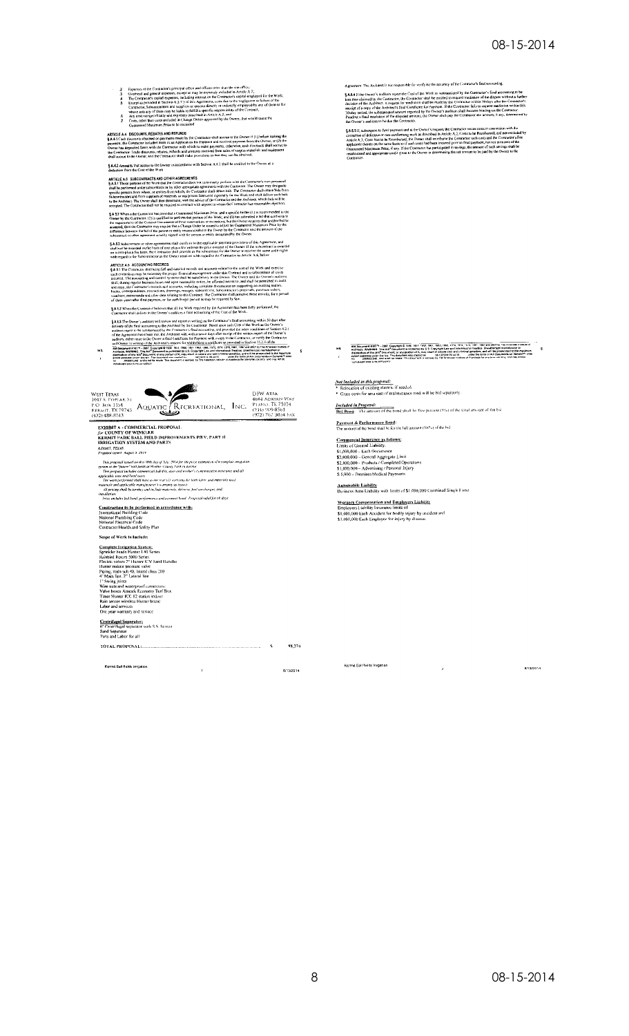- 
- 
- 2 Expresso et the Contactor's principal office and effices onter than the site office:<br>
2 Decretes and general expression complete expression entities in Archivel A.2<br>
The Communication suppression product in the Communic

ARTICLE AA DISCOUNTS, REGATES ARD REFUNDS<br>ARTICLE AA DISCOUNTS, REGATES ARD REFUNDS<br>BAPACE AS discounts obtained on payments music by the Contrastor shall accrue to the Owner it (1) before making the<br>payment, the Coveragne

§ A.4.2 Amounts that accrue to the Owner in accordance with Section A.4.1 shall be credited to the Owner as a<br>deduction from the Cost of the Work

designed from the Cost of the Work<br>  $\Delta$ April C. A. S. SUBCONTRACTS AND OTHER AGREEMENTS<br>
SAA ST Theory potential of the Work dual the Corresponding methods in the Corresponding of the Work may designed<br>
SAA ST Theory pot anouses. In Convention Response to constrained Maximum Prior, and a specific history (1) to recommended to the Overaction Response of the continent of the contraction of the contraction of the contraction of the contracti

sumulations of ones agreement activity register with the person of entity designation that Counter. This Agreement, and<br>§A.E.S. Subjectments or order agreements shall confliction to the expliciative response to this Agreem

with regard to the Subcommistor and to Universe reservoirs with regard on the control of the World and exercise ARTITILE A A ACCOMMINIA RECORDS<br>SARTIFIE A A ACCOMMINIA RECORDS<br>SARTIFIE A CONSULTING RECORDS TO THE CONTROL

§ A.B.Z. When the Contractive believes that all file Work required by the Ayconnem has been fully performed, the<br>Contractor shall delives in the Owner's auditions a final accounting of the Cost of the Work.

Couractor shall delives in the Counter's suddicts a final accurating of the Unit of the New Counter subject by A.S. S. The Counter of the Counter of the Counter of the Counter of the Counter of the Counter of the Counter

 $\overline{\phantom{a}}$ 



 $\begin{tabular}{p{0.85\textwidth}}p{EXSBHT}\textbf{A}-\textbf{COMMERCAL} \textbf{PROPOSAL} \\ \hline $\beta\nu$=COMNTV OF WINKER\\ \textbf{KERMT} \textbf{Y-ARK BAL} \textbf{HEL} \textbf{FELD} \textbf{IMPROVEMENTS} \textbf{PB} \textbf{V}, \textbf{PART H} \\ \textbf{IRRGATION SYSTEM AND PARTS} \end{tabular}$ This proposed tarset on the 30th day of  $\mathbb{N}_0$ ,  $3014$  for the price extinction of a complete respective that the state of the state of the state of the state of the state of the state of the state of the state of the

stallation.<br>Price includes but bond, performance and paym ent bomt - Proposal valid for 60 days **Construction to be performed in accordance with:**<br>International Building Code<br>Mational Plumbing Code<br>National Blumbing Code<br>National Blumbing Code<br>Contractor Health and Safety Plan

Scope of Work to Include:

Complete Icrigation System;<br>
Sprinkler heads Hunter 140 Scries<br>
Rainbird Rotors 5000 Series<br>
Flexire calves 7" Hunter ICV Sand Handler<br>
Hunter reduce pressure valve<br>
Piping, main sch 40, lateral class 200<br>
4" Main line: 2" 4 Maniture, 2 Lateral line<br>
11' Swing Johns<br>
Wire nuts and waterproof connectors:<br>
Wire bases Amede Economy Turf Box<br>
Timer Hunter ICC 12 station indeer<br>
Rain sensor wireless Hunter brand<br>
Labor and services<br>
One year warr Centrifugal Separator;<br>6" Centrifugal separator with S.S. Screen Sand Separator<br>Parts and Labor for all

TOTAL PROPOSAL: 

 $\sim$   $_{\rm H}$ 

Kermit Ball fields Imgation

8/13/2014

98,274

A program The Architect is not responsible for verifying the accuracy of the Contractor's final acc A geometric reasons in an response to "Ville the Work as substantiated by the Contractor's final accounting to be<br>signature to contract the Contractor's final accounts of the Universe contractor's final accounting to be<br>t

 $\frac{2}{3}$ A.5 II, subsequest to feral payment and at the Owner's request, the Computer mean easily in convenient with the correction of delectors or non-conforming work as described in Article A.2, (consider a collection a

# aus Source et 802 ^ - 1993. Concept B. (1995 - 1971 - 1985 - 1986 - 1970 - 1971 - 1976 - 1987 et al 2007 by The Assessment Branch and The Assessment Branch and The Assessment Branch and The Assessment Branch and The Assess

 $\mathbf{r}$ 

Not Included in this proposal:<br>
• Relocation of existing electric if needed.<br>
• Grass costs for area east of maintenance road will be bid separately.

**Included in Proposal:**<br>Bid Bond: The amount of the bond shall be five percent (5%) of the Enal amount of the bid

**Payment & Performance Bond:**<br>The amount of the bond shail be for the full amount  $(00^6\omega)$  of the bid

Commercial Insurance as follows:<br>Limits of General Liability: Limits of General Liability:<br> $$1,000,000$  – Each Occurrence<br> $$2,000,000$  – General Aggregate Limit<br> $$2,000,000$  – Centrals Aggregate Limit<br> $$1,000,000$  – Products / Completed Operati<br> $$1,000,000$  – Advertising / Personal

Automobile Liability<br>Business Auto Liability with limits of \$1.000,000 Combined Single Limit

**Workers Compensation and Employers Liability**<br>Employers Liability Insurance limits of<br>**\$1,000,000 Each Arcidem for bodily lajury by accident and**<br>\$1,000,000 Each Employee for injury by disease.

Kormit Ball fields Imgation

08-15-2014

8/13/2014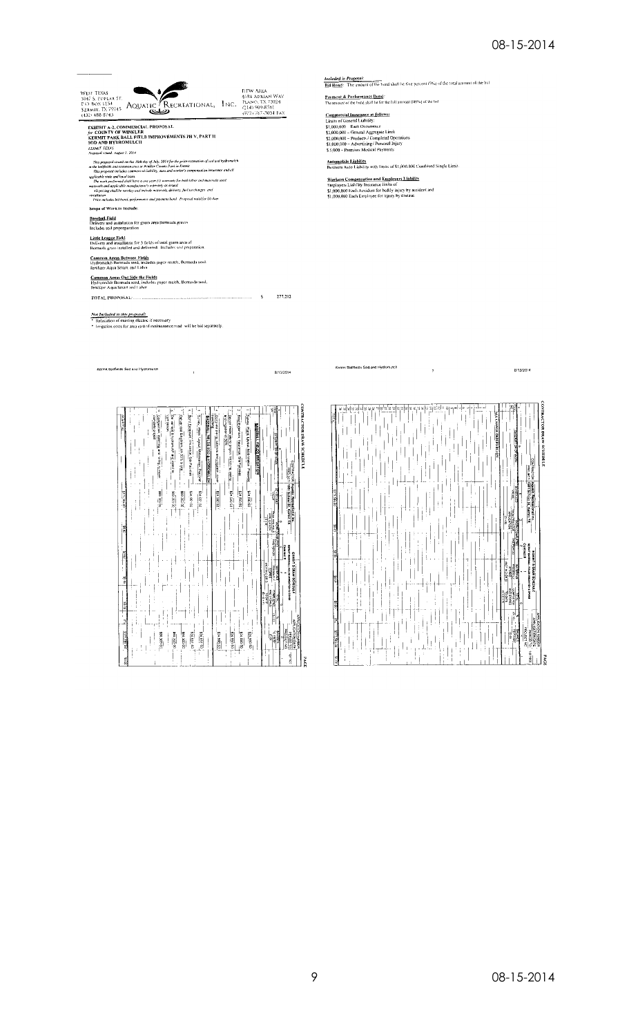| WEST TEXAS<br>1047 S. POPLAR ST.<br>RECREATIONAL INC.<br>P.O. BOX 1154<br>Aquatic <sup>e</sup><br>KERMIT, TX 79745<br>$(43)$ 488 8/43                                                                                                                                                                                                                                                                                                                                                                                                                                                                                                                             | <b>FIFW AREA</b><br>4684 ADRIAN WAY<br>PLANO, TX 75024<br>(214) 909-8561<br>(972) 767-3054 FAX |         |
|-------------------------------------------------------------------------------------------------------------------------------------------------------------------------------------------------------------------------------------------------------------------------------------------------------------------------------------------------------------------------------------------------------------------------------------------------------------------------------------------------------------------------------------------------------------------------------------------------------------------------------------------------------------------|------------------------------------------------------------------------------------------------|---------|
| EXHIBIT A-2, COMMERCIAL PROPOSAL<br>for COUNTY OF WINKLER<br><b>KERMIT PARK BALL FIELD IMPROVEMENTS PH V, PART II</b><br>SOD AND HYDROMULCII<br><b>KERMIT TEXAS</b><br>Proposal Hourd, August 3, 2014                                                                                                                                                                                                                                                                                                                                                                                                                                                             |                                                                                                |         |
| This proposal issued on this 30th dity of July, 2014 for the price estimation of sod and hydromulch<br>at the ballfields and common area at Winkler County Park in Kermit<br>This proposal includes commercal liability, auto and worker's compensation insurance and all<br>annicable state and local tracts<br>The work performed shall have a une year (i) warranty for both labor and materials used<br>moterants and applicable manufacturer's vegeranty as issued<br>All pricing shall be turnlay and include materials, delivery, fuel surchinges, and<br>unstallan on<br>Price includes bid bond, performance and payment bond Proposal valid for 66 days |                                                                                                |         |
| Scope of Work to Include:                                                                                                                                                                                                                                                                                                                                                                                                                                                                                                                                                                                                                                         |                                                                                                |         |
| <b>Baseball Field</b><br>Delivery and installation for green area Berntuda grasss<br>Includes soil preorcoaration<br>Little League Field<br>Delivery and installation for 3 fields of total green arca of                                                                                                                                                                                                                                                                                                                                                                                                                                                         |                                                                                                |         |
| Bermuda grass installed and delivered. Includes soil preparation.                                                                                                                                                                                                                                                                                                                                                                                                                                                                                                                                                                                                 |                                                                                                |         |
| Common Areas Between Fields<br>Hydromalch Bermuda seed, includes paper mulch, Bermuda seed.<br>fertilizer Agua Smart, and Lahor                                                                                                                                                                                                                                                                                                                                                                                                                                                                                                                                   |                                                                                                |         |
| Common Areas Out Side the Fields<br>Hydromalch Bermuda seed, includes paper mulch, Bermuda seed,<br>fertilizer Aqua Smart and Labor                                                                                                                                                                                                                                                                                                                                                                                                                                                                                                                               |                                                                                                |         |
|                                                                                                                                                                                                                                                                                                                                                                                                                                                                                                                                                                                                                                                                   | s                                                                                              | 277.212 |
| Not Included in this proposal:<br>Relocation of existing electric if necessary<br>* Irrigation costs for area cast of maintenance road will be bid separately.                                                                                                                                                                                                                                                                                                                                                                                                                                                                                                    |                                                                                                |         |
|                                                                                                                                                                                                                                                                                                                                                                                                                                                                                                                                                                                                                                                                   |                                                                                                |         |

ermit Ballfields Sod and Hydromulch

 $\bar{\bar{1}}$ 

 $\bigg|$ Ħ

 $\begin{tabular}{|c|c|c|c|} \hline \multicolumn{3}{|c|}{3.5\textwidth} \begin{tabular}{|c|c|c|} \hline \multicolumn{3}{|c|}{5.5\textwidth} \begin{tabular}{|c|c|c|} \hline \multicolumn{3}{|c|}{5.5\textwidth} \begin{tabular}{|c|c|c|} \hline \multicolumn{3}{|c|}{5.5\textwidth} \begin{tabular}{|c|c|c|} \hline \multicolumn{3}{|c|}{5.5\textwidth} \begin{tabular}{|c|c|} \hline \multicolumn{3}{|c|}{5.5\textwidth} \begin{tabular}{|c|c$ 

 $-28.001$  697

 $\ddot{\ddot{\phantom{a}}}$ 

 $\mathbf{I}$ 

 $\left\vert \right\vert$ Г

 $\Bigl($ 

ē

 $-1000$ 

i<br>Mura

Les issues

Included in Proposal:<br>**Bid Bond**: The amount of the bond shall be five percent (5%) of the total amount of the bid

<mark>l'ayment & Performance Bond</mark>.<br>The amount of the bond shall be for the full amount (109%) of the bol

Commercial Insurance as follows:<br>Limits of General Liabitity:<br>\$1,000,000 Esch Occurrence<br>\$2,000,000 – General Aggregate Limit<br>\$2,000,000 – Preducts / Completed Operations<br>\$1,000,000 – Advertising / Personal Injury<br>\$1,000,0

gobile Liability<br>iss Auto Liability with limits of \$1,000,000 Combined Single Limit

Workers Compensation and Employers Liability<br>Employers Liability Insurance limits of<br>\$1,000,000 Each Accident for bodily injury by accident and<br>\$1,000,000 Each Employee for injury by discase.